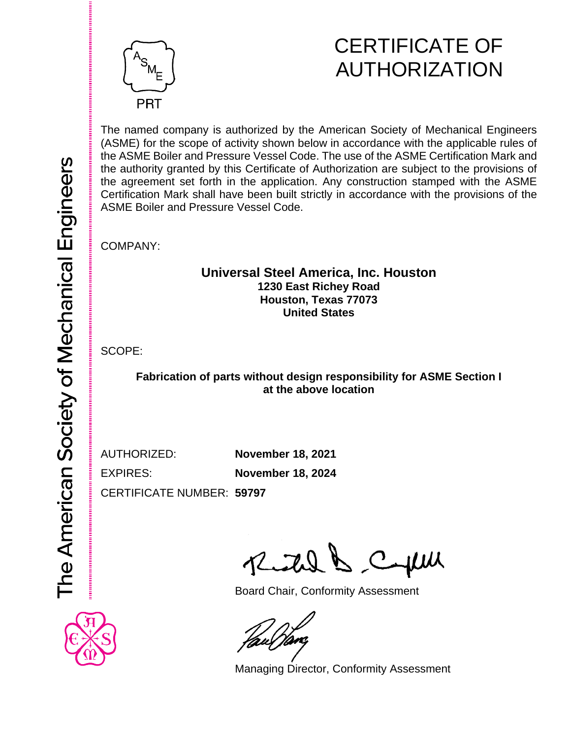

# CERTIFICATE OF AUTHORIZATION

The named company is authorized by the American Society of Mechanical Engineers (ASME) for the scope of activity shown below in accordance with the applicable rules of the ASME Boiler and Pressure Vessel Code. The use of the ASME Certification Mark and the authority granted by this Certificate of Authorization are subject to the provisions of the agreement set forth in the application. Any construction stamped with the ASME Certification Mark shall have been built strictly in accordance with the provisions of the ASME Boiler and Pressure Vessel Code.

COMPANY:

## **Universal Steel America, Inc. Houston 1230 East Richey Road Houston, Texas 77073 United States**

SCOPE:

**Fabrication of parts without design responsibility for ASME Section I at the above location**

AUTHORIZED: **November 18, 2021**

EXPIRES: **November 18, 2024**

CERTIFICATE NUMBER: **59797**

Reichel & Capul

Board Chair, Conformity Assessment



Managing Director, Conformity Assessment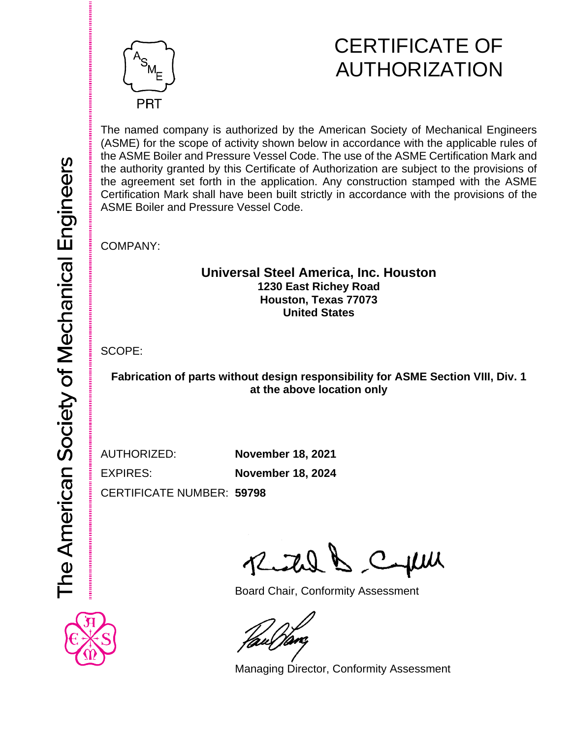

# CERTIFICATE OF AUTHORIZATION

The named company is authorized by the American Society of Mechanical Engineers (ASME) for the scope of activity shown below in accordance with the applicable rules of the ASME Boiler and Pressure Vessel Code. The use of the ASME Certification Mark and the authority granted by this Certificate of Authorization are subject to the provisions of the agreement set forth in the application. Any construction stamped with the ASME Certification Mark shall have been built strictly in accordance with the provisions of the ASME Boiler and Pressure Vessel Code.

COMPANY:

## **Universal Steel America, Inc. Houston 1230 East Richey Road Houston, Texas 77073 United States**

SCOPE:

**Fabrication of parts without design responsibility for ASME Section VIII, Div. 1 at the above location only**

EXPIRES: **November 18, 2024**

AUTHORIZED: **November 18, 2021**

CERTIFICATE NUMBER: **59798**

Reital & Cepul

Board Chair, Conformity Assessment

Managing Director, Conformity Assessment